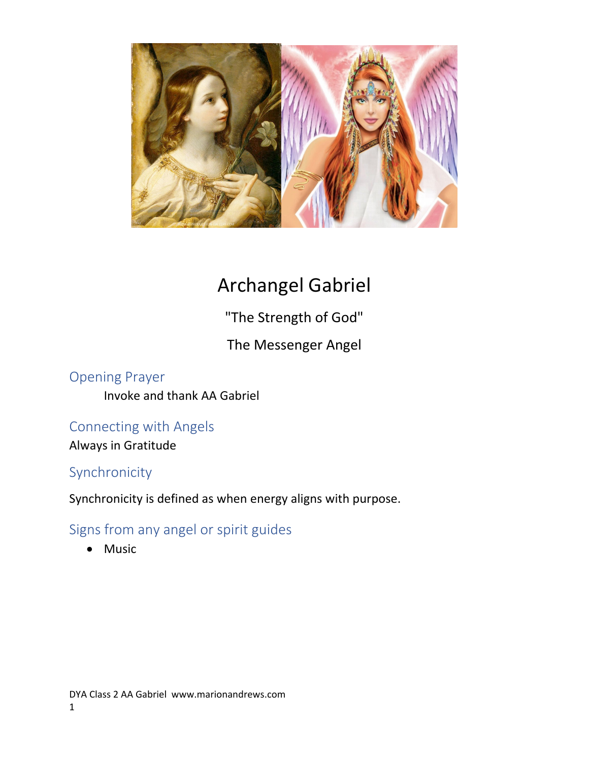

# Archangel Gabriel

"The Strength of God"

The Messenger Angel

Opening Prayer Invoke and thank AA Gabriel

## Connecting with Angels

Always in Gratitude

## Synchronicity

Synchronicity is defined as when energy aligns with purpose.

## Signs from any angel or spirit guides

Music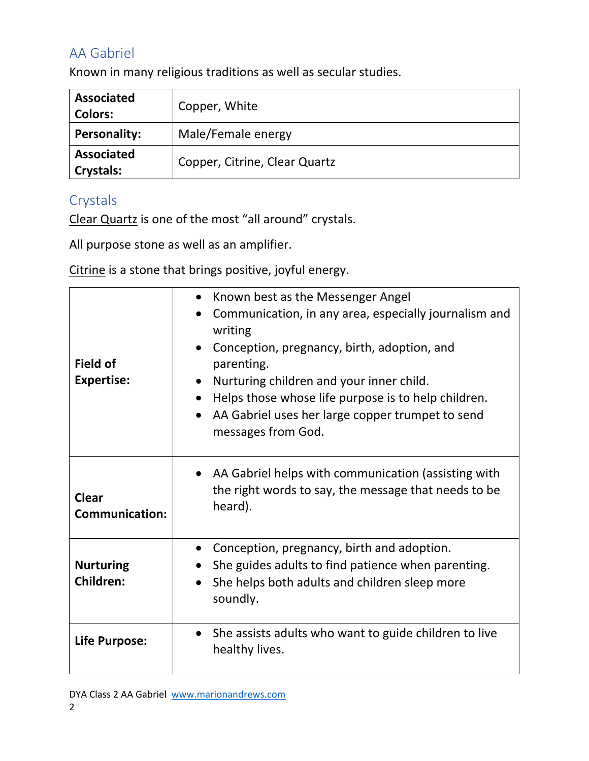## AA Gabriel

Known in many religious traditions as well as secular studies.

| <b>Associated</b><br><b>Colors:</b>   | Copper, White                 |
|---------------------------------------|-------------------------------|
| <b>Personality:</b>                   | Male/Female energy            |
| <b>Associated</b><br><b>Crystals:</b> | Copper, Citrine, Clear Quartz |

## Crystals

Clear Quartz is one of the most "all around" crystals.

All purpose stone as well as an amplifier.

Citrine is a stone that brings positive, joyful energy.

| <b>Field of</b><br><b>Expertise:</b>  | Known best as the Messenger Angel<br>Communication, in any area, especially journalism and<br>writing<br>Conception, pregnancy, birth, adoption, and<br>parenting.<br>Nurturing children and your inner child.<br>Helps those whose life purpose is to help children.<br>AA Gabriel uses her large copper trumpet to send<br>messages from God. |  |  |  |
|---------------------------------------|-------------------------------------------------------------------------------------------------------------------------------------------------------------------------------------------------------------------------------------------------------------------------------------------------------------------------------------------------|--|--|--|
| <b>Clear</b><br><b>Communication:</b> | • AA Gabriel helps with communication (assisting with<br>the right words to say, the message that needs to be<br>heard).                                                                                                                                                                                                                        |  |  |  |
| <b>Nurturing</b><br><b>Children:</b>  | Conception, pregnancy, birth and adoption.<br>She guides adults to find patience when parenting.<br>She helps both adults and children sleep more<br>soundly.                                                                                                                                                                                   |  |  |  |
| Life Purpose:                         | She assists adults who want to guide children to live<br>healthy lives.                                                                                                                                                                                                                                                                         |  |  |  |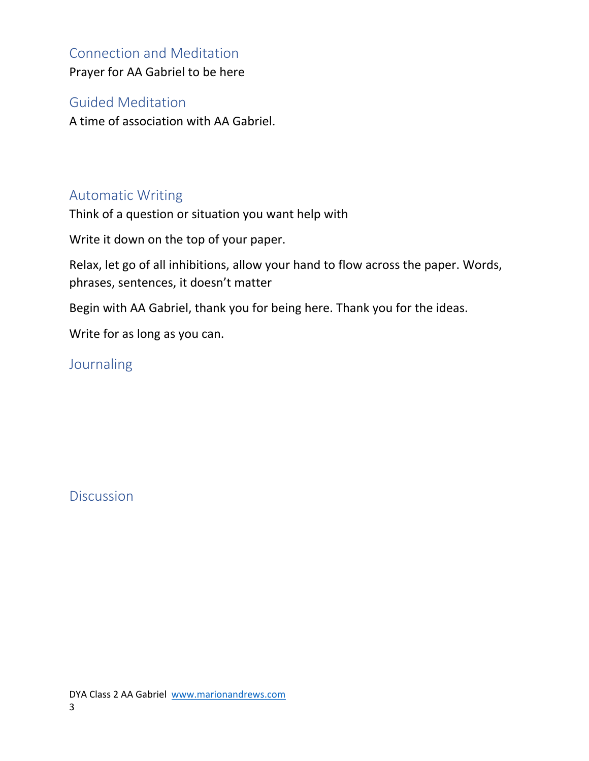## Connection and Meditation

Prayer for AA Gabriel to be here

#### Guided Meditation

A time of association with AA Gabriel.

## Automatic Writing

Think of a question or situation you want help with

Write it down on the top of your paper.

Relax, let go of all inhibitions, allow your hand to flow across the paper. Words, phrases, sentences, it doesn't matter

Begin with AA Gabriel, thank you for being here. Thank you for the ideas.

Write for as long as you can.

**Journaling** 

**Discussion**